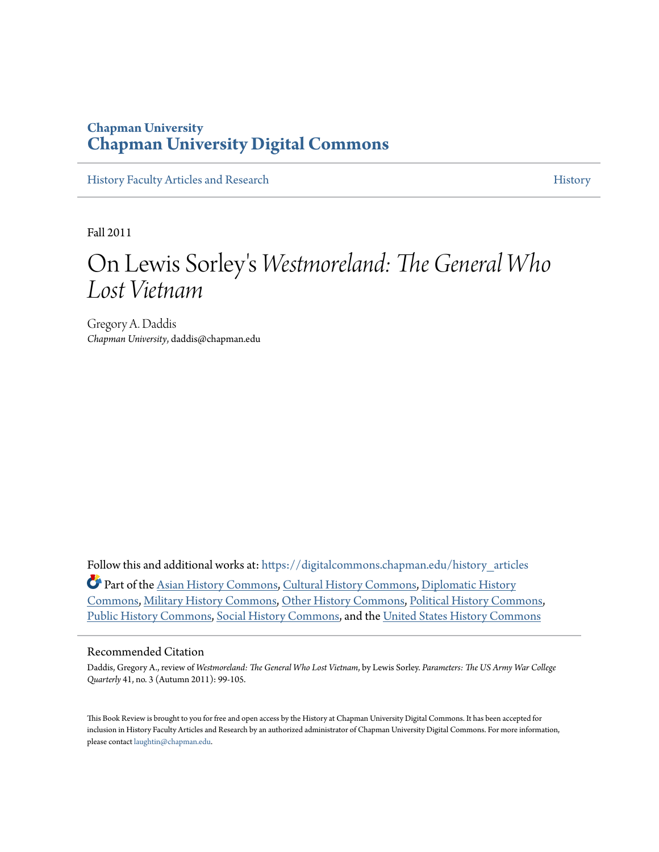### **Chapman University [Chapman University Digital Commons](https://digitalcommons.chapman.edu?utm_source=digitalcommons.chapman.edu%2Fhistory_articles%2F48&utm_medium=PDF&utm_campaign=PDFCoverPages)**

[History Faculty Articles and Research](https://digitalcommons.chapman.edu/history_articles?utm_source=digitalcommons.chapman.edu%2Fhistory_articles%2F48&utm_medium=PDF&utm_campaign=PDFCoverPages) [History](https://digitalcommons.chapman.edu/history?utm_source=digitalcommons.chapman.edu%2Fhistory_articles%2F48&utm_medium=PDF&utm_campaign=PDFCoverPages) History

Fall 2011

### On Lewis Sorley ' s *Westmoreland: The General Who Lost Vietnam*

Gregory A. Daddis *Chapman University*, daddis@chapman.edu

Follow this and additional works at: [https://digitalcommons.chapman.edu/history\\_articles](https://digitalcommons.chapman.edu/history_articles?utm_source=digitalcommons.chapman.edu%2Fhistory_articles%2F48&utm_medium=PDF&utm_campaign=PDFCoverPages) Part of the [Asian History Commons](http://network.bepress.com/hgg/discipline/491?utm_source=digitalcommons.chapman.edu%2Fhistory_articles%2F48&utm_medium=PDF&utm_campaign=PDFCoverPages), [Cultural History Commons](http://network.bepress.com/hgg/discipline/496?utm_source=digitalcommons.chapman.edu%2Fhistory_articles%2F48&utm_medium=PDF&utm_campaign=PDFCoverPages), [Diplomatic History](http://network.bepress.com/hgg/discipline/497?utm_source=digitalcommons.chapman.edu%2Fhistory_articles%2F48&utm_medium=PDF&utm_campaign=PDFCoverPages) [Commons,](http://network.bepress.com/hgg/discipline/497?utm_source=digitalcommons.chapman.edu%2Fhistory_articles%2F48&utm_medium=PDF&utm_campaign=PDFCoverPages) [Military History Commons](http://network.bepress.com/hgg/discipline/504?utm_source=digitalcommons.chapman.edu%2Fhistory_articles%2F48&utm_medium=PDF&utm_campaign=PDFCoverPages), [Other History Commons](http://network.bepress.com/hgg/discipline/508?utm_source=digitalcommons.chapman.edu%2Fhistory_articles%2F48&utm_medium=PDF&utm_campaign=PDFCoverPages), [Political History Commons](http://network.bepress.com/hgg/discipline/505?utm_source=digitalcommons.chapman.edu%2Fhistory_articles%2F48&utm_medium=PDF&utm_campaign=PDFCoverPages), [Public History Commons,](http://network.bepress.com/hgg/discipline/1292?utm_source=digitalcommons.chapman.edu%2Fhistory_articles%2F48&utm_medium=PDF&utm_campaign=PDFCoverPages) [Social History Commons](http://network.bepress.com/hgg/discipline/506?utm_source=digitalcommons.chapman.edu%2Fhistory_articles%2F48&utm_medium=PDF&utm_campaign=PDFCoverPages), and the [United States History Commons](http://network.bepress.com/hgg/discipline/495?utm_source=digitalcommons.chapman.edu%2Fhistory_articles%2F48&utm_medium=PDF&utm_campaign=PDFCoverPages)

#### Recommended Citation

Daddis, Gregory A., review of *Westmoreland: The General Who Lost Vietnam*, by Lewis Sorley. *Parameters: The US Army War College Quarterly* 41, no. 3 (Autumn 2011): 99-105.

This Book Review is brought to you for free and open access by the History at Chapman University Digital Commons. It has been accepted for inclusion in History Faculty Articles and Research by an authorized administrator of Chapman University Digital Commons. For more information, please contact [laughtin@chapman.edu.](mailto:laughtin@chapman.edu)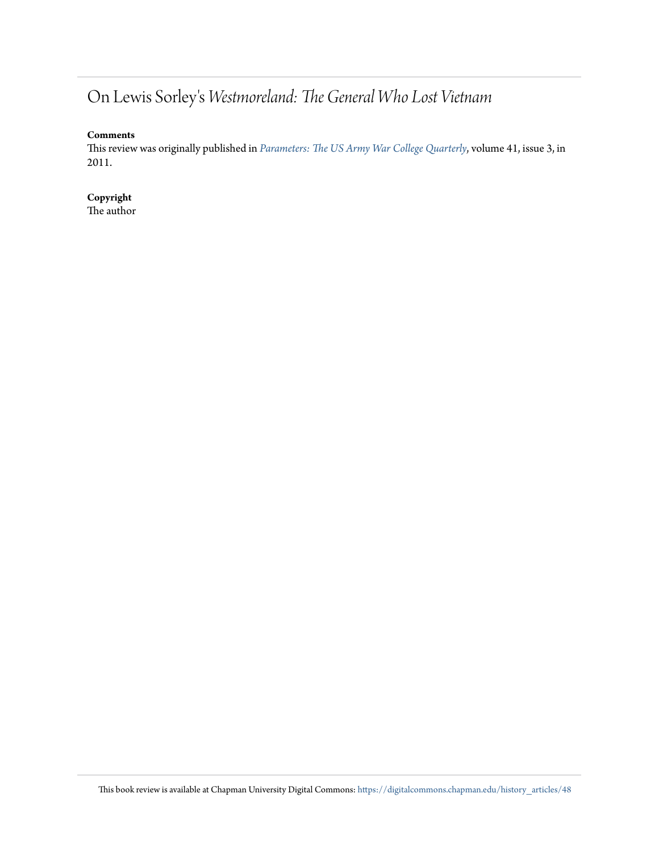## On Lewis Sorley's *Westmoreland: The General Who Lost Vietnam*

#### **Comments**

This review was originally published in *[Parameters: The US Army War College Quarterly](https://ssi.armywarcollege.edu/pubs/parameters/)*, volume 41, issue 3, in 2011.

**Copyright** The author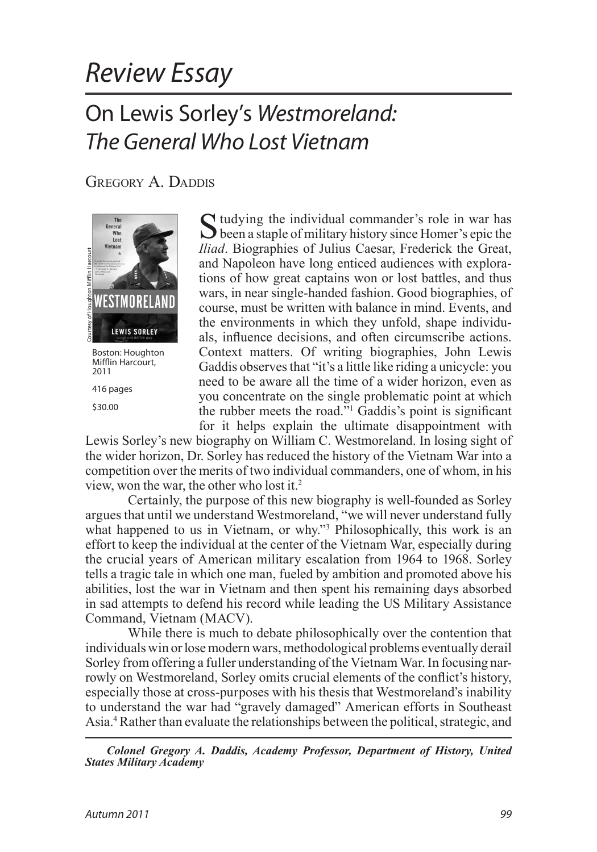# *Review Essay*

## On Lewis Sorley's *Westmoreland: The General Who Lost Vietnam*

GREGORY A. DADDIS



Mifflin Harcourt, 2011 416 pages

<span id="page-2-0"></span>\$30.00

Studying the individual commander's role in war has been a staple of military history since Homer's epic the *Iliad*. Biographies of Julius Caesar, Frederick the Great, and Napoleon have long enticed audiences with explorations of how great captains won or lost battles, and thus wars, in near single-handed fashion. Good biographies, of course, must be written with balance in mind. Events, and the environments in which they unfold, shape individuals, influence decisions, and often circumscribe actions. Context matters. Of writing biographies, John Lewis Gaddis observes that "it's a little like riding a unicycle: you need to be aware all the time of a wider horizon, even as you concentrate on the single problematic point at which the rubber meets the road.["1](#page-6-0) Gaddis's point is significant for it helps explain the ultimate disappointment with

<span id="page-2-2"></span><span id="page-2-1"></span>Lewis Sorley's new biography on William C. Westmoreland. In losing sight of the wider horizon, Dr. Sorley has reduced the history of the Vietnam War into a competition over the merits of two individual commanders, one of whom, in his view, won the war, the other who lost it.[2](#page-6-1)

Certainly, the purpose of this new biography is well-founded as Sorley argues that until we understand Westmoreland, "we will never understand fully what happened to us in Vietnam, or why."<sup>3</sup> Philosophically, this work is an effort to keep the individual at the center of the Vietnam War, especially during the crucial years of American military escalation from 1964 to 1968. Sorley tells a tragic tale in which one man, fueled by ambition and promoted above his abilities, lost the war in Vietnam and then spent his remaining days absorbed in sad attempts to defend his record while leading the US Military Assistance Command, Vietnam (MACV). **EXECUTE AND THE COURT ACT ACTES MILITARY**<br> **SESSION: Houghton** C<br> **EXECUTE AND ACADEMY**<br> **EXECUTE AND**<br> **EXECUTE AND**<br> **EXECUTE ACT ACT ACTES**<br> **S30.00 EXECUTE AND**<br> **END ACT ACT ACT ACT ACT AND ACTED AND ACTED AND ACTE** 

While there is much to debate philosophically over the contention that individuals win or lose modern wars, methodological problems eventually derail Sorley from offering a fuller understanding of the Vietnam War. In focusing narrowly on Westmoreland, Sorley omits crucial elements of the conflict's history, especially those at cross-purposes with his thesis that Westmoreland's inability to understand the war had "gravely damaged" American efforts in Southeast Asia.[4](#page-6-3) Rather than evaluate the relationships between the political, strategic, and

<span id="page-2-3"></span>*Colonel Gregory A. Daddis, Academy Professor, Department of History, United*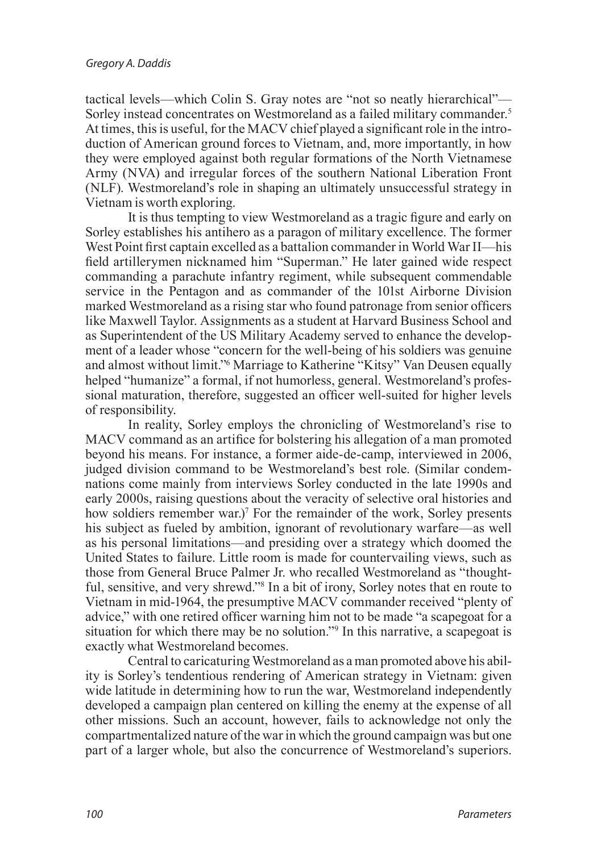<span id="page-3-0"></span>tactical levels—which Colin S. Gray notes are "not so neatly hierarchical"— Sorley instead concentrates on Westmoreland as a failed military commander.<sup>[5](#page-7-0)</sup> At times, this is useful, for the MACV chief played a significant role in the introduction of American ground forces to Vietnam, and, more importantly, in how they were employed against both regular formations of the North Vietnamese Army (NVA) and irregular forces of the southern National Liberation Front (NLF). Westmoreland's role in shaping an ultimately unsuccessful strategy in Vietnam is worth exploring.

It is thus tempting to view Westmoreland as a tragic figure and early on Sorley establishes his antihero as a paragon of military excellence. The former West Point first captain excelled as a battalion commander in World War II—his field artillerymen nicknamed him "Superman." He later gained wide respect commanding a parachute infantry regiment, while subsequent commendable service in the Pentagon and as commander of the 101st Airborne Division marked Westmoreland as a rising star who found patronage from senior officers like Maxwell Taylor. Assignments as a student at Harvard Business School and as Superintendent of the US Military Academy served to enhance the development of a leader whose "concern for the well-being of his soldiers was genuine and almost without limit.["6](#page-7-1) Marriage to Katherine "Kitsy" Van Deusen equally helped "humanize" a formal, if not humorless, general. Westmoreland's professional maturation, therefore, suggested an officer well-suited for higher levels of responsibility.

<span id="page-3-2"></span><span id="page-3-1"></span>In reality, Sorley employs the chronicling of Westmoreland's rise to MACV command as an artifice for bolstering his allegation of a man promoted beyond his means. For instance, a former aide-de-camp, interviewed in 2006, judged division command to be Westmoreland's best role. (Similar condemnations come mainly from interviews Sorley conducted in the late 1990s and early 2000s, raising questions about the veracity of selective oral histories and how soldiers remember war.)<sup>[7](#page-7-2)</sup> For the remainder of the work, Sorley presents his subject as fueled by ambition, ignorant of revolutionary warfare—as well as his personal limitations—and presiding over a strategy which doomed the United States to failure. Little room is made for countervailing views, such as those from General Bruce Palmer Jr. who recalled Westmoreland as "thoughtful, sensitive, and very shrewd."[8](#page-7-3) In a bit of irony, Sorley notes that en route to Vietnam in mid-1964, the presumptive MACV commander received "plenty of advice," with one retired officer warning him not to be made "a scapegoat for a situation for which there may be no solution."<sup>9</sup> In this narrative, a scapegoat is exactly what Westmoreland becomes.

<span id="page-3-4"></span><span id="page-3-3"></span>Central to caricaturing Westmoreland as a man promoted above his ability is Sorley's tendentious rendering of American strategy in Vietnam: given wide latitude in determining how to run the war, Westmoreland independently developed a campaign plan centered on killing the enemy at the expense of all other missions. Such an account, however, fails to acknowledge not only the compartmentalized nature of the war in which the ground campaign was but one part of a larger whole, but also the concurrence of Westmoreland's superiors.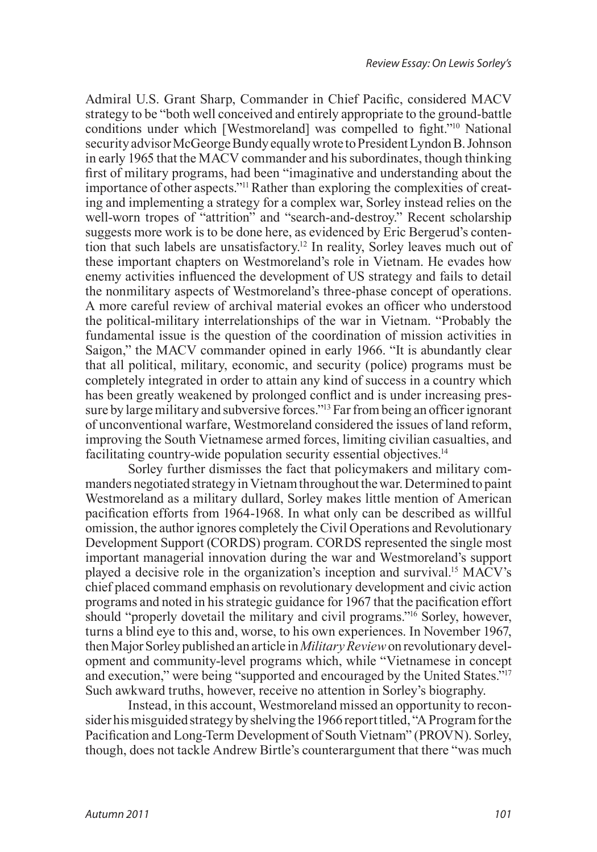<span id="page-4-2"></span><span id="page-4-1"></span><span id="page-4-0"></span>Admiral U.S. Grant Sharp, Commander in Chief Pacific, considered MACV strategy to be "both well conceived and entirely appropriate to the ground-battle conditions under which [Westmoreland] was compelled to fight."[10](#page-7-5) National security advisor McGeorge Bundy equally wrote to President Lyndon B. Johnson in early 1965 that the MACV commander and his subordinates, though thinking first of military programs, had been "imaginative and understanding about the importance of other aspects.["11](#page-7-6) Rather than exploring the complexities of creating and implementing a strategy for a complex war, Sorley instead relies on the well-worn tropes of "attrition" and "search-and-destroy." Recent scholarship suggests more work is to be done here, as evidenced by Eric Bergerud's contention that such labels are unsatisfactory[.12](#page-7-7) In reality, Sorley leaves much out of these important chapters on Westmoreland's role in Vietnam. He evades how enemy activities influenced the development of US strategy and fails to detail the nonmilitary aspects of Westmoreland's three-phase concept of operations. A more careful review of archival material evokes an officer who understood the political-military interrelationships of the war in Vietnam. "Probably the fundamental issue is the question of the coordination of mission activities in Saigon," the MACV commander opined in early 1966. "It is abundantly clear that all political, military, economic, and security (police) programs must be completely integrated in order to attain any kind of success in a country which has been greatly weakened by prolonged conflict and is under increasing pressure by large military and subversive forces.["13](#page-7-8) Far from being an officer ignorant of unconventional warfare, Westmoreland considered the issues of land reform, improving the South Vietnamese armed forces, limiting civilian casualties, and facilitating country-wide population security essential objectives[.14](#page-7-9)

<span id="page-4-5"></span><span id="page-4-4"></span><span id="page-4-3"></span>Sorley further dismisses the fact that policymakers and military commanders negotiated strategy in Vietnam throughout the war. Determined to paint Westmoreland as a military dullard, Sorley makes little mention of American pacification efforts from 1964-1968. In what only can be described as willful omission, the author ignores completely the Civil Operations and Revolutionary Development Support (CORDS) program. CORDS represented the single most important managerial innovation during the war and Westmoreland's support played a decisive role in the organization's inception and survival[.15](#page-7-10) MACV's chief placed command emphasis on revolutionary development and civic action programs and noted in his strategic guidance for 1967 that the pacification effort should "properly dovetail the military and civil programs."<sup>16</sup> Sorley, however, turns a blind eye to this and, worse, to his own experiences. In November 1967, then Major Sorley published an article in *Military Review* on revolutionary development and community-level programs which, while "Vietnamese in concept and execution," were being "supported and encouraged by the United States.["17](#page-7-12) Such awkward truths, however, receive no attention in Sorley's biography.

<span id="page-4-7"></span><span id="page-4-6"></span>Instead, in this account, Westmoreland missed an opportunity to reconsider his misguided strategy by shelving the 1966 report titled, "A Program for the Pacification and Long-Term Development of South Vietnam" (PROVN). Sorley, though, does not tackle Andrew Birtle's counterargument that there "was much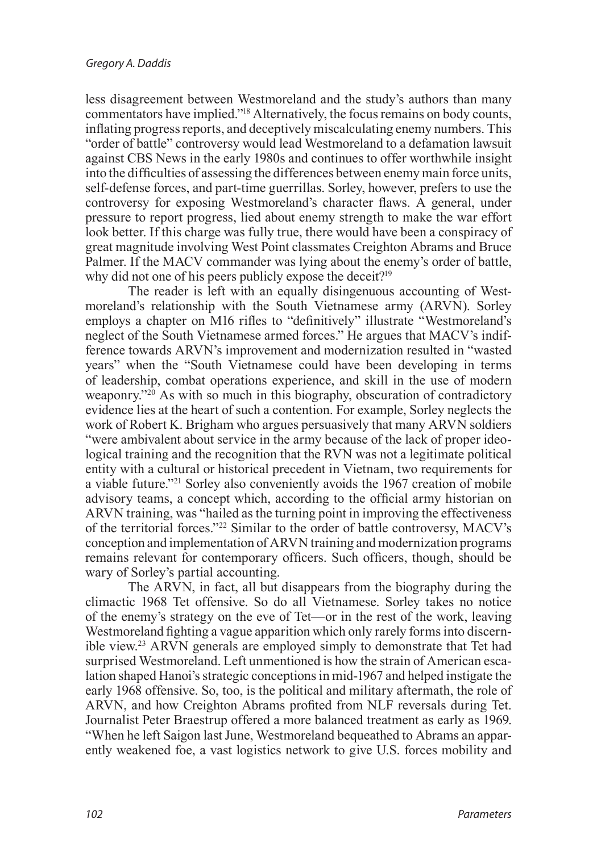<span id="page-5-0"></span>less disagreement between Westmoreland and the study's authors than many commentators have implied.["18](#page-7-13) Alternatively, the focus remains on body counts, inflating progress reports, and deceptively miscalculating enemy numbers. This "order of battle" controversy would lead Westmoreland to a defamation lawsuit against CBS News in the early 1980s and continues to offer worthwhile insight into the difficulties of assessing the differences between enemy main force units, self-defense forces, and part-time guerrillas. Sorley, however, prefers to use the controversy for exposing Westmoreland's character flaws. A general, under pressure to report progress, lied about enemy strength to make the war effort look better. If this charge was fully true, there would have been a conspiracy of great magnitude involving West Point classmates Creighton Abrams and Bruce Palmer. If the MACV commander was lying about the enemy's order of battle, why did not one of his peers publicly expose the deceit?<sup>19</sup>

<span id="page-5-2"></span><span id="page-5-1"></span>The reader is left with an equally disingenuous accounting of Westmoreland's relationship with the South Vietnamese army (ARVN). Sorley employs a chapter on M16 rifles to "definitively" illustrate "Westmoreland's neglect of the South Vietnamese armed forces." He argues that MACV's indifference towards ARVN's improvement and modernization resulted in "wasted years" when the "South Vietnamese could have been developing in terms of leadership, combat operations experience, and skill in the use of modern weaponry.["20](#page-7-15) As with so much in this biography, obscuration of contradictory evidence lies at the heart of such a contention. For example, Sorley neglects the work of Robert K. Brigham who argues persuasively that many ARVN soldiers "were ambivalent about service in the army because of the lack of proper ideological training and the recognition that the RVN was not a legitimate political entity with a cultural or historical precedent in Vietnam, two requirements for a viable future."[21](#page-7-16) Sorley also conveniently avoids the 1967 creation of mobile advisory teams, a concept which, according to the official army historian on ARVN training, was "hailed as the turning point in improving the effectiveness of the territorial forces."[22](#page-7-17) Similar to the order of battle controversy, MACV's conception and implementation of ARVN training and modernization programs remains relevant for contemporary officers. Such officers, though, should be wary of Sorley's partial accounting.

<span id="page-5-5"></span><span id="page-5-4"></span><span id="page-5-3"></span>The ARVN, in fact, all but disappears from the biography during the climactic 1968 Tet offensive. So do all Vietnamese. Sorley takes no notice of the enemy's strategy on the eve of Tet—or in the rest of the work, leaving Westmoreland fighting a vague apparition which only rarely forms into discernible view.[23](#page-7-18) ARVN generals are employed simply to demonstrate that Tet had surprised Westmoreland. Left unmentioned is how the strain of American escalation shaped Hanoi's strategic conceptions in mid-1967 and helped instigate the early 1968 offensive. So, too, is the political and military aftermath, the role of ARVN, and how Creighton Abrams profited from NLF reversals during Tet. Journalist Peter Braestrup offered a more balanced treatment as early as 1969. "When he left Saigon last June, Westmoreland bequeathed to Abrams an apparently weakened foe, a vast logistics network to give U.S. forces mobility and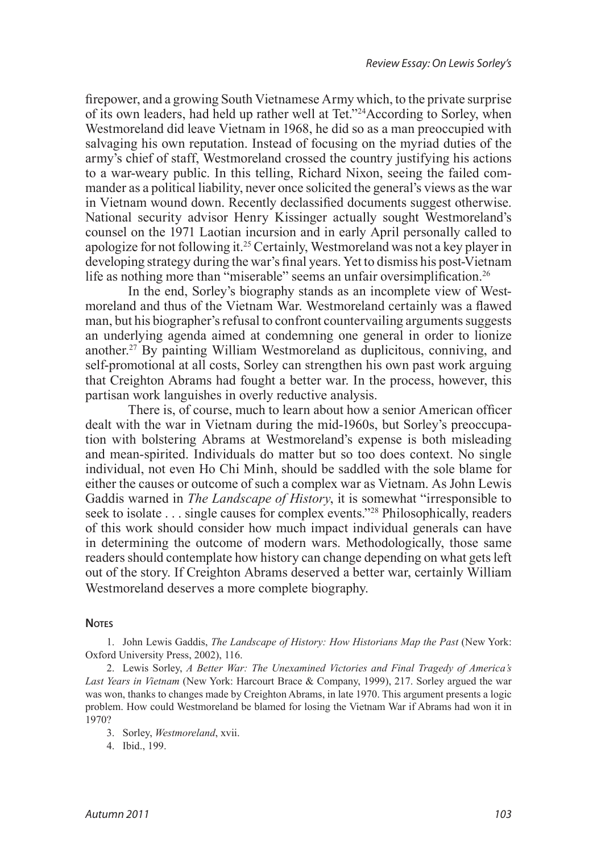<span id="page-6-4"></span>firepower, and a growing South Vietnamese Army which, to the private surprise of its own leaders, had held up rather well at Tet."[24A](#page-7-19)ccording to Sorley, when Westmoreland did leave Vietnam in 1968, he did so as a man preoccupied with salvaging his own reputation. Instead of focusing on the myriad duties of the army's chief of staff, Westmoreland crossed the country justifying his actions to a war-weary public. In this telling, Richard Nixon, seeing the failed commander as a political liability, never once solicited the general's views as the war in Vietnam wound down. Recently declassified documents suggest otherwise. National security advisor Henry Kissinger actually sought Westmoreland's counsel on the 1971 Laotian incursion and in early April personally called to apologize for not following it[.25](#page-8-0) Certainly, Westmoreland was not a key player in developing strategy during the war's final years. Yet to dismiss his post-Vietnam life as nothing more than "miserable" seems an unfair oversimplification.<sup>[26](#page-8-1)</sup>

<span id="page-6-7"></span><span id="page-6-6"></span><span id="page-6-5"></span>In the end, Sorley's biography stands as an incomplete view of Westmoreland and thus of the Vietnam War. Westmoreland certainly was a flawed man, but his biographer's refusal to confront countervailing arguments suggests an underlying agenda aimed at condemning one general in order to lionize another.[27](#page-8-2) By painting William Westmoreland as duplicitous, conniving, and self-promotional at all costs, Sorley can strengthen his own past work arguing that Creighton Abrams had fought a better war. In the process, however, this partisan work languishes in overly reductive analysis.

<span id="page-6-8"></span>There is, of course, much to learn about how a senior American officer dealt with the war in Vietnam during the mid-1960s, but Sorley's preoccupation with bolstering Abrams at Westmoreland's expense is both misleading and mean-spirited. Individuals do matter but so too does context. No single individual, not even Ho Chi Minh, should be saddled with the sole blame for either the causes or outcome of such a complex war as Vietnam. As John Lewis Gaddis warned in *The Landscape of History*, it is somewhat "irresponsible to seek to isolate . . . single causes for complex events."[28](#page-8-3) Philosophically, readers of this work should consider how much impact individual generals can have in determining the outcome of modern wars. Methodologically, those same readers should contemplate how history can change depending on what gets left out of the story. If Creighton Abrams deserved a better war, certainly William Westmoreland deserves a more complete biography.

#### **NOTES**

<span id="page-6-0"></span>1. John Lewis Gaddis, *[The Landscape of History: How Historians Map the Past](#page-2-0)* (New York: [Oxford University Press, 2002\), 116.](#page-2-0)

<span id="page-6-1"></span>2. Lewis Sorley, *[A Better War: The Unexamined Victories and Final Tragedy of America's](#page-2-1) Last Years in Vietnam* [\(New York: Harcourt Brace & Company, 1999\), 217. Sorley argued the war](#page-2-1)  [was won, thanks to changes made by Creighton Abrams, in late 1970. This argument presents a logic](#page-2-1) [problem. How could Westmoreland be blamed for losing the Vietnam War if Abrams had won it in](#page-2-1)  [1970?](#page-2-1) 

<span id="page-6-2"></span>3. Sorley, *[Westmoreland](#page-2-2)*, xvii.

<span id="page-6-3"></span>4. [Ibid., 199.](#page-2-3)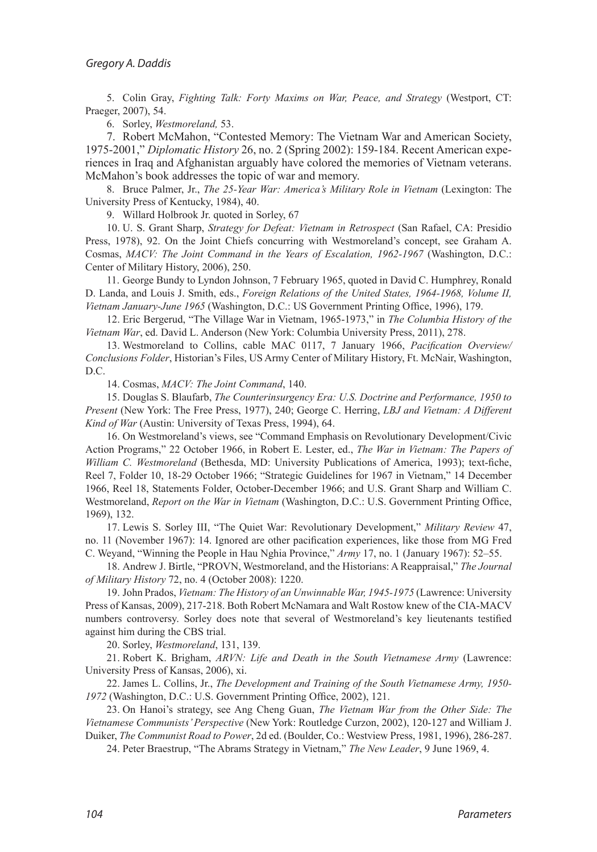5. Colin Gray, *[Fighting Talk: Forty Maxims on War, Peace, and Strategy](#page-3-0)* (Westport, CT: [Praeger, 2007\), 54.](#page-3-0)

<span id="page-7-2"></span><span id="page-7-1"></span><span id="page-7-0"></span>6. Sorley, *[Westmoreland,](#page-3-1)* 53.

7. [Robert McMahon, "Contested Memory: The Vietnam War and American Society,](#page-3-2)  1975-2001," *Diplomatic History* [26, no. 2 \(Spring 2002\): 159-184. Recent American expe](#page-3-2)[riences in Iraq and Afghanistan arguably have colored the memories of Vietnam veterans.](#page-3-2) [McMahon's book addresses the topic of war and memory.](#page-3-2)

8. Bruce Palmer, Jr., *[The 25-Year War: America's Military Role in Vietnam](#page-3-3)* (Lexington: The [University Press of Kentucky, 1984\), 40.](#page-3-3)

<span id="page-7-5"></span><span id="page-7-4"></span><span id="page-7-3"></span>9. [Willard Holbrook Jr. quoted in Sorley, 67](#page-3-4)

10. U. S. Grant Sharp, *[Strategy for Defeat: Vietnam in Retrospect](#page-4-0)* (San Rafael, CA: Presidio [Press, 1978\), 92. On the Joint Chiefs concurring with Westmoreland's concept, see Graham A.](#page-4-0) Cosmas, *[MACV: The Joint Command in the Years of Escalation, 1962-1967](#page-4-0)* (Washington, D.C.: [Center of Military History, 2006\), 250.](#page-4-0)

<span id="page-7-6"></span>11. George Bundy to Lyndon Johnson, 7 February 1965, quoted in David C. Humphrey, Ronald D. Landa, and Louis J. Smith, eds., *Foreign Relations of the United States, 1964-1968, Volume II, Vietnam January-June 1965* [\(Washington, D.C.: US Government Printing Office, 1996\), 179.](#page-4-1)

<span id="page-7-7"></span>12. [Eric Bergerud, "The Village War in Vietnam, 1965-1973," in](#page-4-2) *The Columbia History of the Vietnam War*[, ed. David L. Anderson \(New York: Columbia University Press, 2011\), 278.](#page-4-2) 

13. [Westmoreland to Collins, cable MAC 0117, 7 January 1966,](#page-4-3) *Pacification Overview/ Conclusions Folder*[, Historian's Files, US Army Center of Military History, Ft. McNair, Washington,](#page-4-3)  [D.C.](#page-4-3)

<span id="page-7-11"></span><span id="page-7-10"></span><span id="page-7-9"></span><span id="page-7-8"></span>14. Cosmas, *[MACV: The Joint Command](#page-4-4)*, 140.

15. Douglas S. Blaufarb, *[The Counterinsurgency Era: U.S. Doctrine and Performance, 1950 to](#page-4-5) Present* [\(New York: The Free Press, 1977\), 240; George C. Herring,](#page-4-5) *LBJ and Vietnam: A Different Kind of War* [\(Austin: University of Texas Press, 1994\), 64.](#page-4-5)

16. [On Westmoreland's views, see "Command Emphasis on Revolutionary Development/Civic](#page-4-6) [Action Programs," 22 October 1966, in Robert E. Lester, ed.,](#page-4-6) *The War in Vietnam: The Papers of William C. Westmoreland* [\(Bethesda, MD: University Publications of America, 1993\); text-fiche,](#page-4-6) [Reel 7, Folder 10, 18-29 October 1966; "Strategic Guidelines for 1967 in Vietnam," 14 December](#page-4-6) [1966, Reel 18, Statements Folder, October-December 1966; and U.S. Grant Sharp and William C.](#page-4-6)  Westmoreland, *Report on the War in Vietnam* [\(Washington, D.C.: U.S. Government Printing Office,](#page-4-6)  [1969\), 132.](#page-4-6)

<span id="page-7-12"></span>17. [Lewis S. Sorley III, "The Quiet War: Revolutionary Development,"](#page-4-7) *Military Review* 47, [no. 11 \(November 1967\): 14. Ignored are other pacification experiences, like those from MG Fred](#page-4-7) [C. Weyand, "Winning the People in Hau Nghia Province,"](#page-4-7) *Army* 17, no. 1 (January 1967): 52–55.

<span id="page-7-13"></span>18. [Andrew J. Birtle, "PROVN, Westmoreland, and the Historians: A Reappraisal,"](#page-5-0) *The Journal of Military History* [72, no. 4 \(October 2008\): 1220.](#page-5-0)

<span id="page-7-14"></span>19. John Prados, *[Vietnam: The History of an Unwinnable War, 1945-1975](#page-5-1)* (Lawrence: University [Press of Kansas, 2009\), 217-218. Both Robert McNamara and Walt Rostow knew of the CIA-MACV](#page-5-1) [numbers controversy. Sorley does note that several of Westmoreland's key lieutenants testified](#page-5-1) [against him during the CBS trial.](#page-5-1)

<span id="page-7-17"></span><span id="page-7-16"></span><span id="page-7-15"></span>20. Sorley, *[Westmoreland](#page-5-2)*, 131, 139.

21. Robert K. Brigham, *[ARVN: Life and Death in the South Vietnamese Army](#page-5-3)* (Lawrence: [University Press of Kansas, 2006\), xi.](#page-5-3)

22. James L. Collins, Jr., *[The Development and Training of the South Vietnamese Army, 1950-](#page-5-4) 1972* [\(Washington, D.C.: U.S. Government Printing Office, 2002\), 121.](#page-5-4)

23. [On Hanoi's strategy, see Ang Cheng Guan,](#page-5-5) *The Vietnam War from the Other Side: The Vietnamese Communists' Perspective* [\(New York: Routledge Curzon, 2002\), 120-127 and William J.](#page-5-5) Duiker, *The Communist Road to Power*[, 2d ed. \(Boulder, Co.: Westview Press, 1981, 1996\), 286-287.](#page-5-5)

<span id="page-7-19"></span><span id="page-7-18"></span>24. [Peter Braestrup, "The Abrams Strategy in Vietnam,"](#page-6-4) *The New Leader*, 9 June 1969, 4.